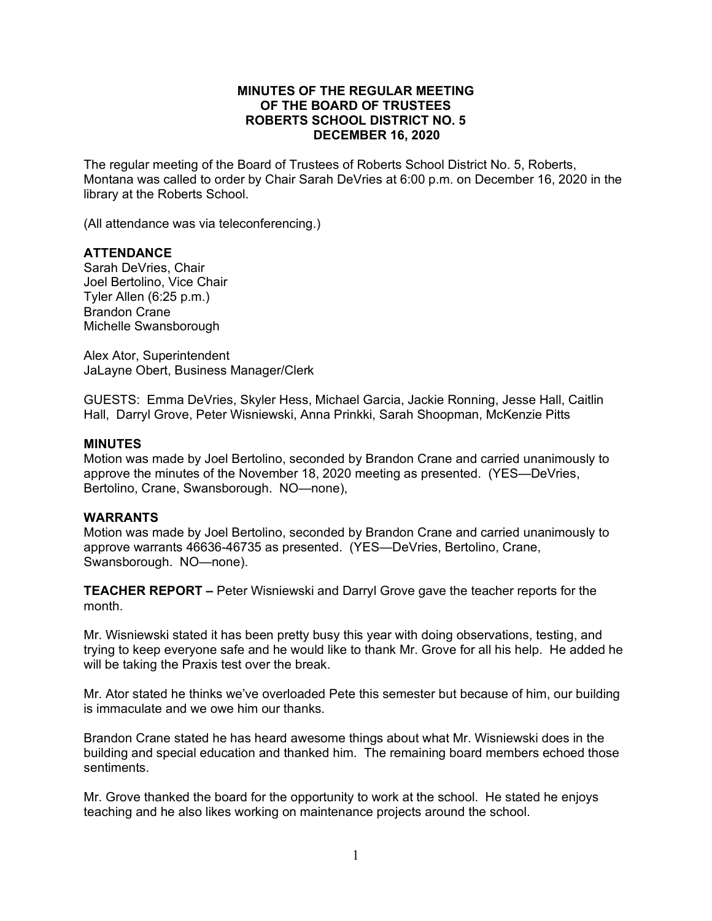## **MINUTES OF THE REGULAR MEETING OF THE BOARD OF TRUSTEES ROBERTS SCHOOL DISTRICT NO. 5 DECEMBER 16, 2020**

The regular meeting of the Board of Trustees of Roberts School District No. 5, Roberts, Montana was called to order by Chair Sarah DeVries at 6:00 p.m. on December 16, 2020 in the library at the Roberts School.

(All attendance was via teleconferencing.)

# **ATTENDANCE**

Sarah DeVries, Chair Joel Bertolino, Vice Chair Tyler Allen (6:25 p.m.) Brandon Crane Michelle Swansborough

Alex Ator, Superintendent JaLayne Obert, Business Manager/Clerk

GUESTS: Emma DeVries, Skyler Hess, Michael Garcia, Jackie Ronning, Jesse Hall, Caitlin Hall, Darryl Grove, Peter Wisniewski, Anna Prinkki, Sarah Shoopman, McKenzie Pitts

## **MINUTES**

Motion was made by Joel Bertolino, seconded by Brandon Crane and carried unanimously to approve the minutes of the November 18, 2020 meeting as presented. (YES—DeVries, Bertolino, Crane, Swansborough. NO—none),

## **WARRANTS**

Motion was made by Joel Bertolino, seconded by Brandon Crane and carried unanimously to approve warrants 46636-46735 as presented. (YES—DeVries, Bertolino, Crane, Swansborough. NO—none).

**TEACHER REPORT –** Peter Wisniewski and Darryl Grove gave the teacher reports for the month.

Mr. Wisniewski stated it has been pretty busy this year with doing observations, testing, and trying to keep everyone safe and he would like to thank Mr. Grove for all his help. He added he will be taking the Praxis test over the break.

Mr. Ator stated he thinks we've overloaded Pete this semester but because of him, our building is immaculate and we owe him our thanks.

Brandon Crane stated he has heard awesome things about what Mr. Wisniewski does in the building and special education and thanked him. The remaining board members echoed those sentiments.

Mr. Grove thanked the board for the opportunity to work at the school. He stated he enjoys teaching and he also likes working on maintenance projects around the school.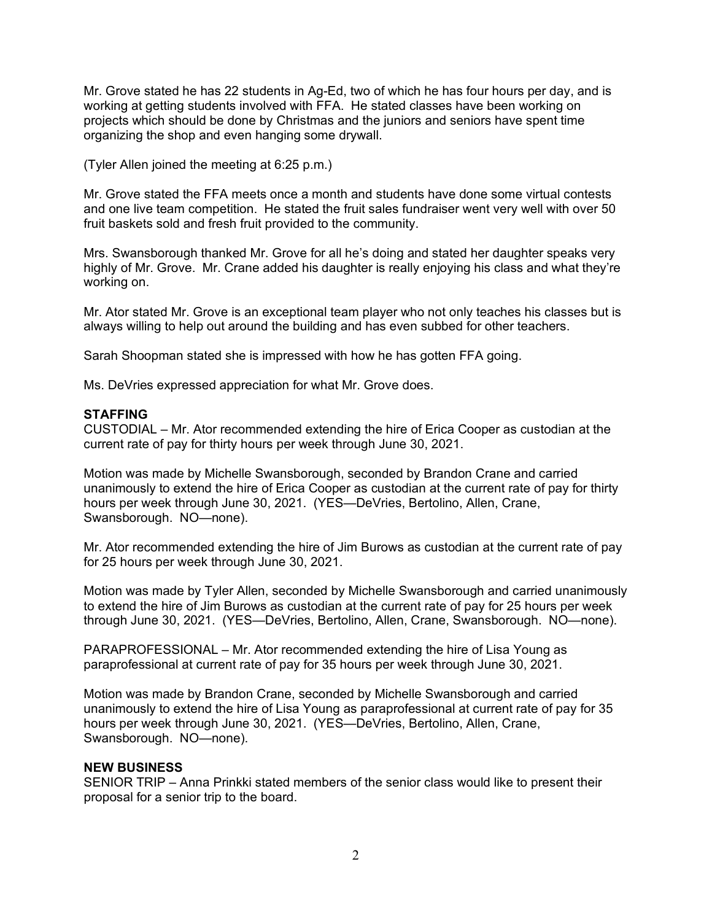Mr. Grove stated he has 22 students in Ag-Ed, two of which he has four hours per day, and is working at getting students involved with FFA. He stated classes have been working on projects which should be done by Christmas and the juniors and seniors have spent time organizing the shop and even hanging some drywall.

(Tyler Allen joined the meeting at 6:25 p.m.)

Mr. Grove stated the FFA meets once a month and students have done some virtual contests and one live team competition. He stated the fruit sales fundraiser went very well with over 50 fruit baskets sold and fresh fruit provided to the community.

Mrs. Swansborough thanked Mr. Grove for all he's doing and stated her daughter speaks very highly of Mr. Grove. Mr. Crane added his daughter is really enjoying his class and what they're working on.

Mr. Ator stated Mr. Grove is an exceptional team player who not only teaches his classes but is always willing to help out around the building and has even subbed for other teachers.

Sarah Shoopman stated she is impressed with how he has gotten FFA going.

Ms. DeVries expressed appreciation for what Mr. Grove does.

#### **STAFFING**

CUSTODIAL – Mr. Ator recommended extending the hire of Erica Cooper as custodian at the current rate of pay for thirty hours per week through June 30, 2021.

Motion was made by Michelle Swansborough, seconded by Brandon Crane and carried unanimously to extend the hire of Erica Cooper as custodian at the current rate of pay for thirty hours per week through June 30, 2021. (YES—DeVries, Bertolino, Allen, Crane, Swansborough. NO—none).

Mr. Ator recommended extending the hire of Jim Burows as custodian at the current rate of pay for 25 hours per week through June 30, 2021.

Motion was made by Tyler Allen, seconded by Michelle Swansborough and carried unanimously to extend the hire of Jim Burows as custodian at the current rate of pay for 25 hours per week through June 30, 2021. (YES—DeVries, Bertolino, Allen, Crane, Swansborough. NO—none).

PARAPROFESSIONAL – Mr. Ator recommended extending the hire of Lisa Young as paraprofessional at current rate of pay for 35 hours per week through June 30, 2021.

Motion was made by Brandon Crane, seconded by Michelle Swansborough and carried unanimously to extend the hire of Lisa Young as paraprofessional at current rate of pay for 35 hours per week through June 30, 2021. (YES—DeVries, Bertolino, Allen, Crane, Swansborough. NO—none).

## **NEW BUSINESS**

SENIOR TRIP – Anna Prinkki stated members of the senior class would like to present their proposal for a senior trip to the board.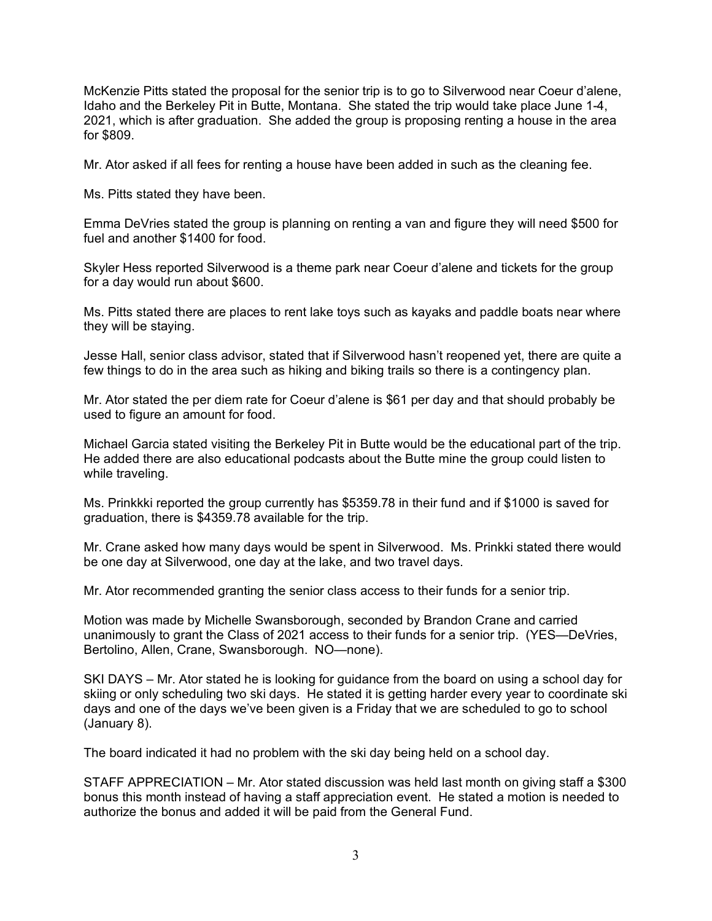McKenzie Pitts stated the proposal for the senior trip is to go to Silverwood near Coeur d'alene, Idaho and the Berkeley Pit in Butte, Montana. She stated the trip would take place June 1-4, 2021, which is after graduation. She added the group is proposing renting a house in the area for \$809.

Mr. Ator asked if all fees for renting a house have been added in such as the cleaning fee.

Ms. Pitts stated they have been.

Emma DeVries stated the group is planning on renting a van and figure they will need \$500 for fuel and another \$1400 for food.

Skyler Hess reported Silverwood is a theme park near Coeur d'alene and tickets for the group for a day would run about \$600.

Ms. Pitts stated there are places to rent lake toys such as kayaks and paddle boats near where they will be staying.

Jesse Hall, senior class advisor, stated that if Silverwood hasn't reopened yet, there are quite a few things to do in the area such as hiking and biking trails so there is a contingency plan.

Mr. Ator stated the per diem rate for Coeur d'alene is \$61 per day and that should probably be used to figure an amount for food.

Michael Garcia stated visiting the Berkeley Pit in Butte would be the educational part of the trip. He added there are also educational podcasts about the Butte mine the group could listen to while traveling.

Ms. Prinkkki reported the group currently has \$5359.78 in their fund and if \$1000 is saved for graduation, there is \$4359.78 available for the trip.

Mr. Crane asked how many days would be spent in Silverwood. Ms. Prinkki stated there would be one day at Silverwood, one day at the lake, and two travel days.

Mr. Ator recommended granting the senior class access to their funds for a senior trip.

Motion was made by Michelle Swansborough, seconded by Brandon Crane and carried unanimously to grant the Class of 2021 access to their funds for a senior trip. (YES—DeVries, Bertolino, Allen, Crane, Swansborough. NO—none).

SKI DAYS – Mr. Ator stated he is looking for guidance from the board on using a school day for skiing or only scheduling two ski days. He stated it is getting harder every year to coordinate ski days and one of the days we've been given is a Friday that we are scheduled to go to school (January 8).

The board indicated it had no problem with the ski day being held on a school day.

STAFF APPRECIATION – Mr. Ator stated discussion was held last month on giving staff a \$300 bonus this month instead of having a staff appreciation event. He stated a motion is needed to authorize the bonus and added it will be paid from the General Fund.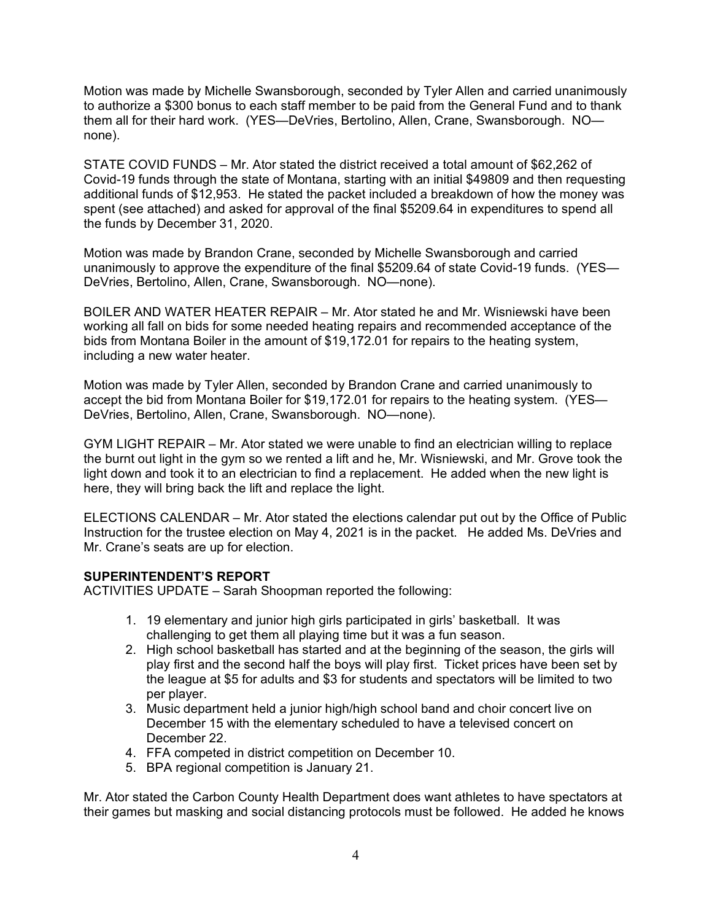Motion was made by Michelle Swansborough, seconded by Tyler Allen and carried unanimously to authorize a \$300 bonus to each staff member to be paid from the General Fund and to thank them all for their hard work. (YES—DeVries, Bertolino, Allen, Crane, Swansborough. NO none).

STATE COVID FUNDS – Mr. Ator stated the district received a total amount of \$62,262 of Covid-19 funds through the state of Montana, starting with an initial \$49809 and then requesting additional funds of \$12,953. He stated the packet included a breakdown of how the money was spent (see attached) and asked for approval of the final \$5209.64 in expenditures to spend all the funds by December 31, 2020.

Motion was made by Brandon Crane, seconded by Michelle Swansborough and carried unanimously to approve the expenditure of the final \$5209.64 of state Covid-19 funds. (YES— DeVries, Bertolino, Allen, Crane, Swansborough. NO—none).

BOILER AND WATER HEATER REPAIR – Mr. Ator stated he and Mr. Wisniewski have been working all fall on bids for some needed heating repairs and recommended acceptance of the bids from Montana Boiler in the amount of \$19,172.01 for repairs to the heating system, including a new water heater.

Motion was made by Tyler Allen, seconded by Brandon Crane and carried unanimously to accept the bid from Montana Boiler for \$19,172.01 for repairs to the heating system. (YES— DeVries, Bertolino, Allen, Crane, Swansborough. NO—none).

GYM LIGHT REPAIR – Mr. Ator stated we were unable to find an electrician willing to replace the burnt out light in the gym so we rented a lift and he, Mr. Wisniewski, and Mr. Grove took the light down and took it to an electrician to find a replacement. He added when the new light is here, they will bring back the lift and replace the light.

ELECTIONS CALENDAR – Mr. Ator stated the elections calendar put out by the Office of Public Instruction for the trustee election on May 4, 2021 is in the packet. He added Ms. DeVries and Mr. Crane's seats are up for election.

# **SUPERINTENDENT'S REPORT**

ACTIVITIES UPDATE – Sarah Shoopman reported the following:

- 1. 19 elementary and junior high girls participated in girls' basketball. It was challenging to get them all playing time but it was a fun season.
- 2. High school basketball has started and at the beginning of the season, the girls will play first and the second half the boys will play first. Ticket prices have been set by the league at \$5 for adults and \$3 for students and spectators will be limited to two per player.
- 3. Music department held a junior high/high school band and choir concert live on December 15 with the elementary scheduled to have a televised concert on December 22.
- 4. FFA competed in district competition on December 10.
- 5. BPA regional competition is January 21.

Mr. Ator stated the Carbon County Health Department does want athletes to have spectators at their games but masking and social distancing protocols must be followed. He added he knows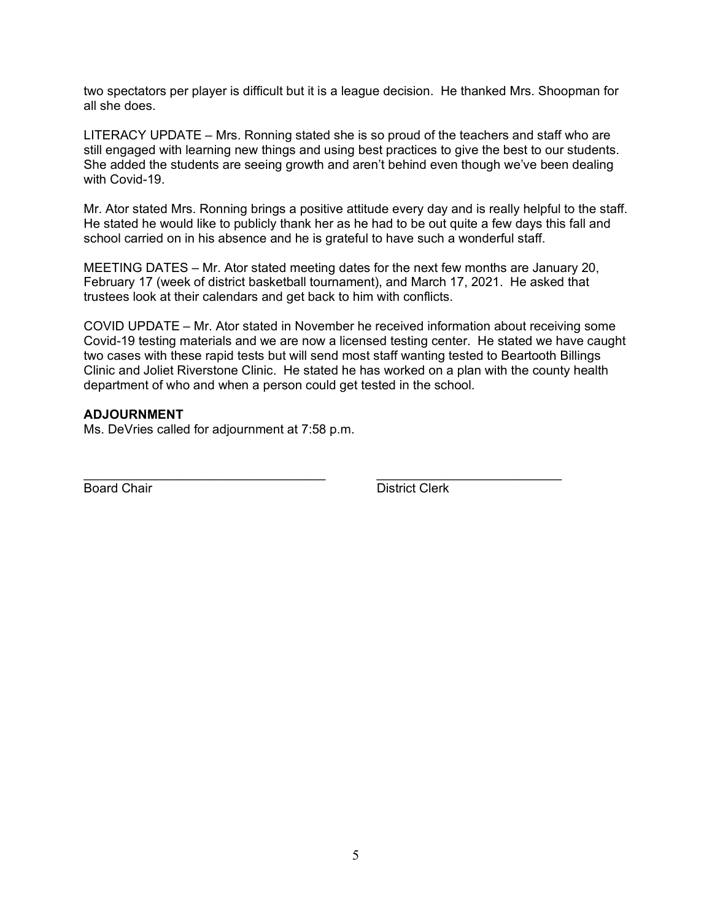two spectators per player is difficult but it is a league decision. He thanked Mrs. Shoopman for all she does.

LITERACY UPDATE – Mrs. Ronning stated she is so proud of the teachers and staff who are still engaged with learning new things and using best practices to give the best to our students. She added the students are seeing growth and aren't behind even though we've been dealing with Covid-19.

Mr. Ator stated Mrs. Ronning brings a positive attitude every day and is really helpful to the staff. He stated he would like to publicly thank her as he had to be out quite a few days this fall and school carried on in his absence and he is grateful to have such a wonderful staff.

MEETING DATES – Mr. Ator stated meeting dates for the next few months are January 20, February 17 (week of district basketball tournament), and March 17, 2021. He asked that trustees look at their calendars and get back to him with conflicts.

COVID UPDATE – Mr. Ator stated in November he received information about receiving some Covid-19 testing materials and we are now a licensed testing center. He stated we have caught two cases with these rapid tests but will send most staff wanting tested to Beartooth Billings Clinic and Joliet Riverstone Clinic. He stated he has worked on a plan with the county health department of who and when a person could get tested in the school.

## **ADJOURNMENT**

Ms. DeVries called for adjournment at 7:58 p.m.

\_\_\_\_\_\_\_\_\_\_\_\_\_\_\_\_\_\_\_\_\_\_\_\_\_\_\_\_\_\_\_\_\_\_ \_\_\_\_\_\_\_\_\_\_\_\_\_\_\_\_\_\_\_\_\_\_\_\_\_\_ Board Chair **District Clerk**